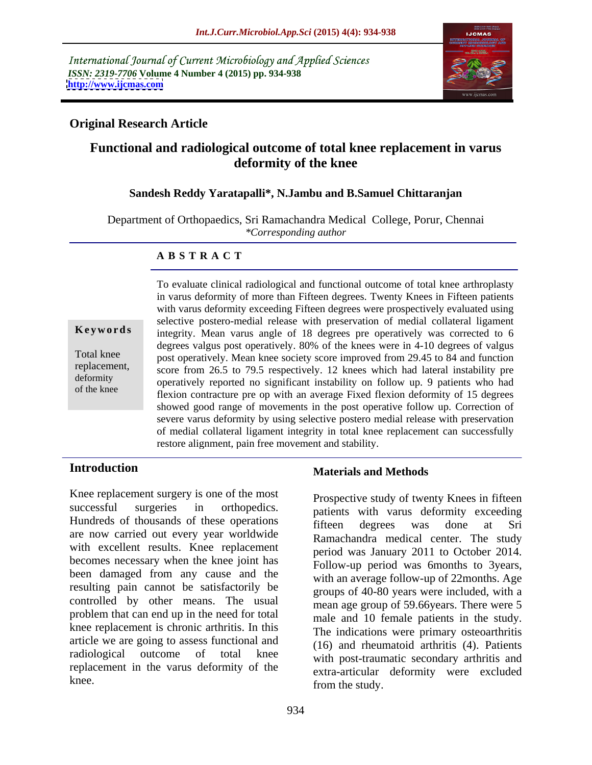International Journal of Current Microbiology and Applied Sciences *ISSN: 2319-7706* **Volume 4 Number 4 (2015) pp. 934-938 <http://www.ijcmas.com>**



# **Original Research Article**

# **Functional and radiological outcome of total knee replacement in varus deformity of the knee**

## **Sandesh Reddy Yaratapalli\*, N.Jambu and B.Samuel Chittaranjan**

Department of Orthopaedics, Sri Ramachandra Medical College, Porur, Chennai *\*Corresponding author*

## **A B S T R A C T**

of the knee

To evaluate clinical radiological and functional outcome of total knee arthroplasty in varus deformity of more than Fifteen degrees. Twenty Knees in Fifteen patients with varus deformity exceeding Fifteen degrees were prospectively evaluated using selective postero-medial release with preservation of medial collateral ligament **Keywords** integrity. Mean varus angle of 18 degrees pre operatively was corrected to 6 degrees valgus post operatively. 80% of the knees were in 4-10 degrees of valgus Total knee post operatively. Mean knee society score improved from 29.45 to 84 and function replacement, score from 26.5 to 79.5 respectively. 12 knees which had lateral instability pre deformity operatively reported no significant instability on follow up. 9 patients who had flexion contracture pre op with an average Fixed flexion deformity of 15 degrees showed good range of movements in the post operative follow up. Correction of severe varus deformity by using selective postero medial release with preservation of medial collateral ligament integrity in total knee replacement can successfully restore alignment, pain free movement and stability.

Knee replacement surgery is one of the most successful surgeries in orthopedics. patients with varus deformity exceeding Hundreds of thousands of these operations fifteen degrees was done at Sri are now carried out every year worldwide with excellent results. Knee replacement becomes necessary when the knee joint has been damaged from any cause and the resulting pain cannot be satisfactorily be controlled by other means. The usual problem that can end up in the need for total knee replacement is chronic arthritis. In this article we are going to assess functional and radiological outcome of total knee with post-traumatic secondary arthritis and replacement in the varus deformity of the knee.<br>From the study from the study

## **Introduction Materials and Methods**

Prospective study of twenty Knees in fifteen fifteen degrees was done at Sri Ramachandra medical center. The study period was January 2011 to October 2014. Follow-up period was 6months to 3years, with an average follow-up of 22months. Age groups of 40-80 years were included, with a mean age group of 59.66years. There were 5 male and 10 female patients in the study. The indications were primary osteoarthritis (16) and rheumatoid arthritis (4). Patients extra-articular deformity were excluded from the study.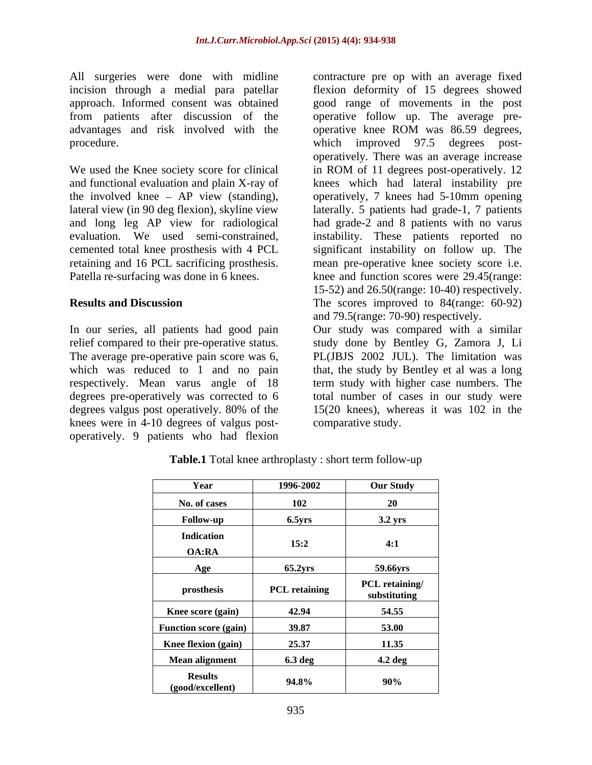All surgeries were done with midline advantages and risk involved with the operative knee ROM was 86.59 degrees, procedure. which improved 97.5 degrees post-

degrees pre-operatively was corrected to 6 knees were in 4-10 degrees of valgus post operatively. 9 patients who had flexion

incision through a medial para patellar flexion deformity of 15 degrees showed approach. Informed consent was obtained good range of movements in the post from patients after discussion of the operative follow up. The average pre- We used the Knee society score for clinical in ROM of 11 degrees post-operatively. 12 and functional evaluation and plain X-ray of knees which had lateral instability pre the involved knee – AP view (standing), operatively, 7 knees had 5-10mm opening lateral view (in 90 deg flexion), skyline view laterally. 5 patients had grade-1, 7 patients and long leg AP view for radiological had grade-2 and 8 patients with no varus evaluation. We used semi-constrained, instability. These patients reported no cemented total knee prosthesis with 4 PCL significant instability on follow up. The retaining and 16 PCL sacrificing prosthesis. mean pre-operative knee society score i.e. Patella re-surfacing was done in 6 knees.  $\frac{1}{2}$  knee and function scores were 29.45(range: **Results and Discussion** The scores improved to 84(range: 60-92) contracture pre op with an average fixed operative knee ROM was 86.59 degrees, which improved 97.5 degrees post operatively. There was an average increase 15-52) and 26.50(range: 10-40) respectively. and 79.5(range: 70-90) respectively.

In our series, all patients had good pain Our study was compared with a similar relief compared to their pre-operative status. study done by Bentley G, Zamora J, Li The average pre-operative pain score was 6, PL(JBJS 2002 JUL). The limitation was which was reduced to 1 and no pain that, the study by Bentley et al was a long respectively. Mean varus angle of 18 term study with higher case numbers. The degrees valgus post operatively. 80% of the 15(20 knees), whereas it was 102 in the total number of cases in our study were comparative study.

| Year                               | 1996-2002            | <b>Our Study</b>               |
|------------------------------------|----------------------|--------------------------------|
| No. of cases                       | 102                  | $20^{\circ}$                   |
| Follow-up                          | $6.5$ yrs            | 3.2 yrs                        |
| <b>Indication</b><br>OA:RA         | 15:2                 | 4:1                            |
| Age                                | $65.2$ yrs           | 59.66yrs                       |
| prosthesis                         | <b>PCL retaining</b> | PCL retaining/<br>substituting |
| Knee score (gain)                  | 42.94                | 54.55                          |
| <b>Function score (gain)</b>       | 39.87                | 53.00                          |
| <b>Knee flexion (gain)</b>         | 25.37                | 11.35                          |
| <b>Mean alignment</b>              | 6.3 deg              | 4.2 deg                        |
| <b>Results</b><br>(good/excellent) | 94.8%                | 90%                            |

**Table.1** Total knee arthroplasty : short term follow-up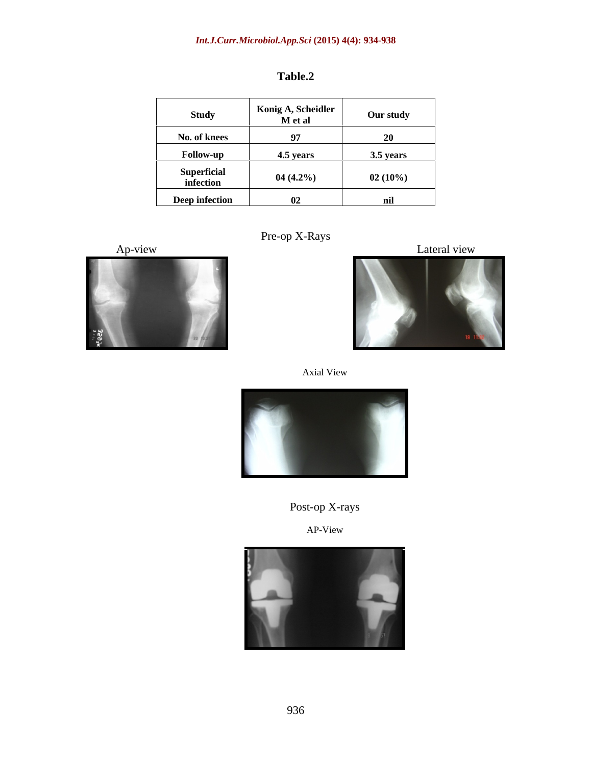# *Int.J.Curr.Microbiol.App.Sci* **(2015) 4(4): 934-938**

| <b>Study</b>                    | Konig A, Scheidler<br>M et al | Our study |
|---------------------------------|-------------------------------|-----------|
| No. of knees                    | $\mathbf{Q}$<br><u>,</u>      | 20        |
| Follow-up                       | 4.5 years                     | 3.5 years |
| <b>Superficial</b><br>infection | $04(4.2\%)$                   | 02(10%)   |
| Deep infection                  | 02                            | nil       |



Pre-op X-Rays Ap-view Lateral view





## Post-op X-rays

AP-View

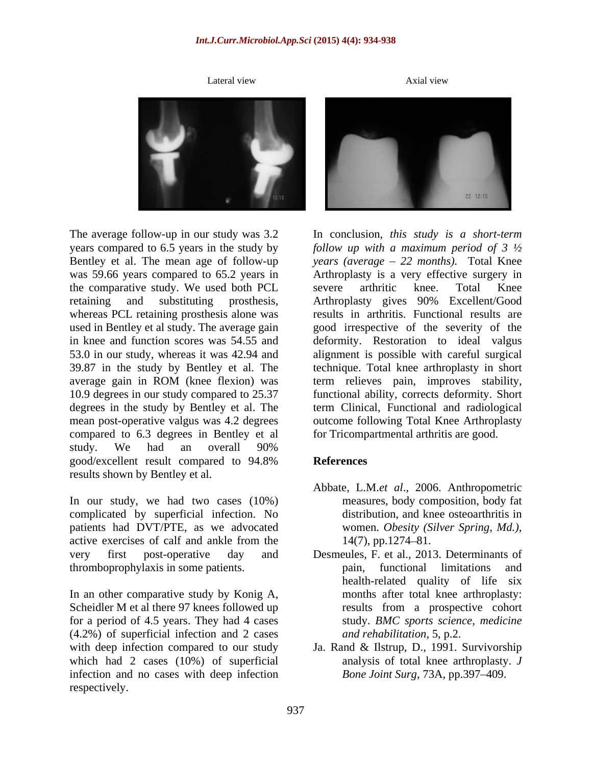years compared to 6.5 years in the study by the comparative study. We used both PCL 39.87 in the study by Bentley et al. The average gain in ROM (knee flexion) was mean post-operative valgus was 4.2 degrees compared to 6.3 degrees in Bentley et al study. We had an overall 90% good/excellent result compared to 94.8% References results shown by Bentley et al.

In our study, we had two cases (10%) complicated by superficial infection. No patients had DVT/PTE, as we advocated women. Obesity (Silver Spring, Md.), active exercises of calf and ankle from the  $14(7)$ , pp. 1274–81. very first post-operative day and Desmeules, F. et al., 2013. Determinants of thromboprophylaxis in some patients.

In an other comparative study by Konig A, Scheidler M et al there 97 knees followed up results from a prospective cohort for a period of 4.5 years. They had 4 cases (4.2%) of superficial infection and 2 cases with deep infection compared to our study Ja. Rand & Ilstrup, D., 1991. Survivorship which had 2 cases (10%) of superficial infection and no cases with deep infection respectively.



Bentley et al. The mean age of follow-up *years (average 22 months).* Total Knee was 59.66 years compared to 65.2 years in Arthroplasty is a very effective surgery in retaining and substituting prosthesis, Arthroplasty gives 90% Excellent/Good whereas PCL retaining prosthesis alone was results in arthritis. Functional results are used in Bentley et al study. The average gain good irrespective of the severity of the in knee and function scores was 54.55 and deformity. Restoration to ideal valgus 53.0 in our study, whereas it was 42.94 and alignment is possible with careful surgical 10.9 degrees in our study compared to 25.37 functional ability, corrects deformity. Short degrees in the study by Bentley et al. The term Clinical, Functional and radiological In conclusion, *this study is a short-term follow up with a maximum period of 3 ½* severe arthritic knee. Total Knee technique. Total knee arthroplasty in short term relieves pain, improves stability, outcome following Total Knee Arthroplasty for Tricompartmental arthritis are good.

# **References**

- Abbate, L.M.*et al*., 2006. Anthropometric measures, body composition, body fat distribution, and knee osteoarthritis in women. *Obesity (Silver Spring, Md.)*, 14(7), pp.1274 81.
- pain, functional limitations and health-related quality of life six months after total knee arthroplasty: results from a prospective cohort study. *BMC sports science, medicine and rehabilitation*, 5, p.2.
- analysis of total knee arthroplasty. *J Bone Joint Surg*, 73A, pp.397-409.